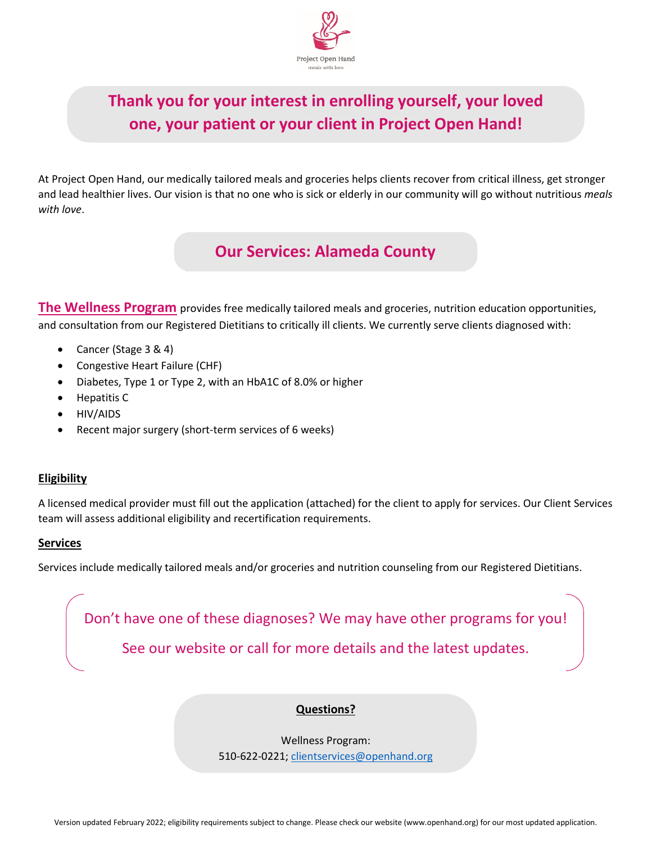

# **Thank you for your interest in enrolling yourself, your loved one, your patient or your client in Project Open Hand!**

At Project Open Hand, our medically tailored meals and groceries helps clients recover from critical illness, get stronger and lead healthier lives. Our vision is that no one who is sick or elderly in our community will go without nutritious *meals with love*.

# **Our Services: Alameda County**

**The Wellness Program** provides free medically tailored meals and groceries, nutrition education opportunities, and consultation from our Registered Dietitians to critically ill clients. We currently serve clients diagnosed with:

- Cancer (Stage 3 & 4)
- Congestive Heart Failure (CHF)
- Diabetes, Type 1 or Type 2, with an HbA1C of 8.0% or higher
- Hepatitis C
- HIV/AIDS
- Recent major surgery (short-term services of 6 weeks)

### **Eligibility**

A licensed medical provider must fill out the application (attached) for the client to apply for services. Our Client Services team will assess additional eligibility and recertification requirements.

#### **Services**

Services include medically tailored meals and/or groceries and nutrition counseling from our Registered Dietitians.

Don't have one of these diagnoses? We may have other programs for you! See our website or call for more details and the latest updates.

# **Questions?**

Wellness Program: 510-622-0221; [clientservices@openhand.org](mailto:clientservices@openhand.org)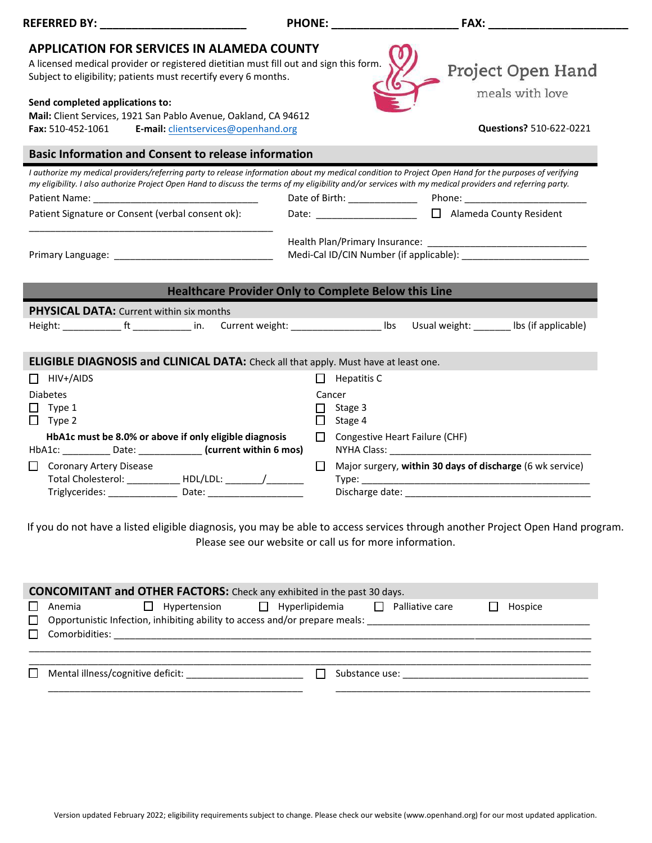| <b>REFERRED BY:</b>                                                                                                                                                                                                                                                                                               | <b>PHONE:</b> |                                                         | <b>FAX:</b>                                               |  |  |
|-------------------------------------------------------------------------------------------------------------------------------------------------------------------------------------------------------------------------------------------------------------------------------------------------------------------|---------------|---------------------------------------------------------|-----------------------------------------------------------|--|--|
| <b>APPLICATION FOR SERVICES IN ALAMEDA COUNTY</b>                                                                                                                                                                                                                                                                 |               |                                                         |                                                           |  |  |
| A licensed medical provider or registered dietitian must fill out and sign this form.<br>Subject to eligibility; patients must recertify every 6 months.                                                                                                                                                          |               |                                                         | Project Open Hand                                         |  |  |
| Send completed applications to:                                                                                                                                                                                                                                                                                   |               |                                                         | meals with love                                           |  |  |
| Mail: Client Services, 1921 San Pablo Avenue, Oakland, CA 94612                                                                                                                                                                                                                                                   |               |                                                         |                                                           |  |  |
| <b>Fax: 510-452-1061</b><br>E-mail: clientservices@openhand.org                                                                                                                                                                                                                                                   |               |                                                         | Questions? 510-622-0221                                   |  |  |
| <b>Basic Information and Consent to release information</b>                                                                                                                                                                                                                                                       |               |                                                         |                                                           |  |  |
| I authorize my medical providers/referring party to release information about my medical condition to Project Open Hand for the purposes of verifying<br>my eligibility. I also authorize Project Open Hand to discuss the terms of my eligibility and/or services with my medical providers and referring party. |               |                                                         |                                                           |  |  |
|                                                                                                                                                                                                                                                                                                                   |               | Date of Birth: ________________                         |                                                           |  |  |
| Patient Signature or Consent (verbal consent ok):                                                                                                                                                                                                                                                                 |               |                                                         | Date: _____________________ [ ] Alameda County Resident   |  |  |
|                                                                                                                                                                                                                                                                                                                   |               |                                                         |                                                           |  |  |
| Primary Language: The contract of the contract of the contract of the contract of the contract of the contract of the contract of the contract of the contract of the contract of the contract of the contract of the contract                                                                                    |               |                                                         |                                                           |  |  |
|                                                                                                                                                                                                                                                                                                                   |               |                                                         |                                                           |  |  |
| <b>Healthcare Provider Only to Complete Below this Line</b>                                                                                                                                                                                                                                                       |               |                                                         |                                                           |  |  |
| <b>PHYSICAL DATA:</b> Current within six months                                                                                                                                                                                                                                                                   |               |                                                         | Usual weight: _______ lbs (if applicable)                 |  |  |
|                                                                                                                                                                                                                                                                                                                   |               |                                                         |                                                           |  |  |
| <b>ELIGIBLE DIAGNOSIS and CLINICAL DATA:</b> Check all that apply. Must have at least one.                                                                                                                                                                                                                        |               |                                                         |                                                           |  |  |
| HIV+/AIDS<br>П                                                                                                                                                                                                                                                                                                    | $\perp$       | Hepatitis C                                             |                                                           |  |  |
| <b>Diabetes</b>                                                                                                                                                                                                                                                                                                   |               | Cancer                                                  |                                                           |  |  |
| $\Box$ Type 1<br>$\Box$ Type 2                                                                                                                                                                                                                                                                                    | П             | Stage 3<br>$\Box$ Stage 4                               |                                                           |  |  |
| HbA1c must be 8.0% or above if only eligible diagnosis                                                                                                                                                                                                                                                            | $\Box$        | Congestive Heart Failure (CHF)                          |                                                           |  |  |
| HbA1c: ___________ Date: ______________ (current within 6 mos)                                                                                                                                                                                                                                                    |               |                                                         |                                                           |  |  |
| Coronary Artery Disease                                                                                                                                                                                                                                                                                           | $\Box$        |                                                         | Major surgery, within 30 days of discharge (6 wk service) |  |  |
| Total Cholesterol: _____________ HDL/LDL: ________/__________                                                                                                                                                                                                                                                     |               |                                                         |                                                           |  |  |
|                                                                                                                                                                                                                                                                                                                   |               |                                                         |                                                           |  |  |
|                                                                                                                                                                                                                                                                                                                   |               |                                                         |                                                           |  |  |
| If you do not have a listed eligible diagnosis, you may be able to access services through another Project Open Hand program.                                                                                                                                                                                     |               |                                                         |                                                           |  |  |
|                                                                                                                                                                                                                                                                                                                   |               | Please see our website or call us for more information. |                                                           |  |  |

| <b>CONCOMITANT and OTHER FACTORS:</b> Check any exhibited in the past 30 days. |                |  |                                                                             |  |  |                                                                                                      |         |
|--------------------------------------------------------------------------------|----------------|--|-----------------------------------------------------------------------------|--|--|------------------------------------------------------------------------------------------------------|---------|
| $\Box$                                                                         | Anemia         |  | $\Box$ Hypertension $\Box$ Hyperlipidemia $\Box$                            |  |  | Palliative care                                                                                      | Hospice |
| $\Box$                                                                         |                |  | Opportunistic Infection, inhibiting ability to access and/or prepare meals: |  |  |                                                                                                      |         |
| $\Box$                                                                         | Comorbidities: |  |                                                                             |  |  |                                                                                                      |         |
|                                                                                |                |  |                                                                             |  |  |                                                                                                      |         |
|                                                                                |                |  |                                                                             |  |  |                                                                                                      |         |
|                                                                                |                |  | Mental illness/cognitive deficit:                                           |  |  | Substance use: North and the set of the set of the set of the set of the set of the set of the set o |         |
|                                                                                |                |  |                                                                             |  |  |                                                                                                      |         |